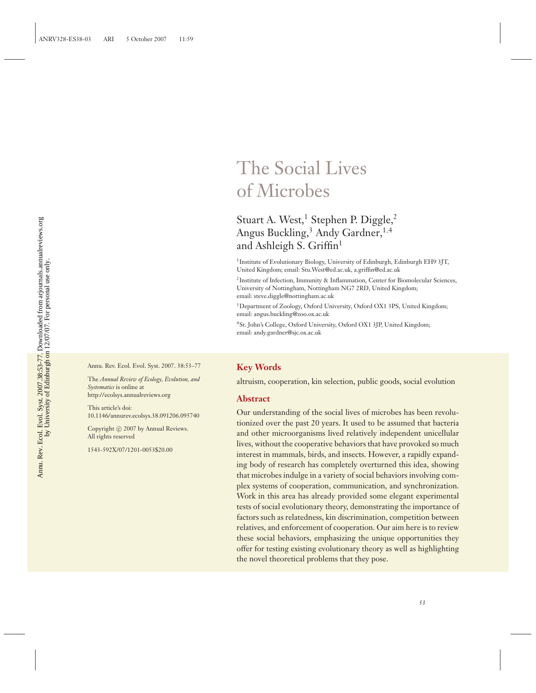# The Social Lives of Microbes

# Stuart A. West,<sup>1</sup> Stephen P. Diggle,<sup>2</sup> Angus Buckling,<sup>3</sup> Andy Gardner,<sup>1,4</sup> and Ashleigh S. Griffin<sup>1</sup>

<sup>1</sup>Institute of Evolutionary Biology, University of Edinburgh, Edinburgh EH9 3JT, United Kingdom; email: Stu.West@ed.ac.uk, a.griffin@ed.ac.uk

<sup>2</sup>Institute of Infection, Immunity & Inflammation, Center for Biomolecular Sciences University of Nottingham, Nottingham NG7 2RD, United Kingdom; email: steve.diggle@nottingham.ac.uk

<sup>3</sup>Department of Zoology, Oxford University, Oxford OX1 3PS, United Kingdom; email: angus.buckling@zoo.ox.ac.uk

<sup>4</sup>St. John's College, Oxford University, Oxford OX1 3JP, United Kingdom; email: andy.gardner@sjc.ox.ac.uk

Annu. Rev. Ecol. Evol. Syst. 2007. 38:53–77

The *Annual Review of Ecology, Evolution, and Systematics* is online at http://ecolsys.annualreviews.org

This article's doi: 10.1146/annurev.ecolsys.38.091206.095740

Copyright © 2007 by Annual Reviews. All rights reserved

1543-592X/07/1201-0053\$20.00

#### **Key Words**

altruism, cooperation, kin selection, public goods, social evolution

#### **Abstract**

Our understanding of the social lives of microbes has been revolutionized over the past 20 years. It used to be assumed that bacteria and other microorganisms lived relatively independent unicellular lives, without the cooperative behaviors that have provoked so much interest in mammals, birds, and insects. However, a rapidly expanding body of research has completely overturned this idea, showing that microbes indulge in a variety of social behaviors involving complex systems of cooperation, communication, and synchronization. Work in this area has already provided some elegant experimental tests of social evolutionary theory, demonstrating the importance of factors such as relatedness, kin discrimination, competition between relatives, and enforcement of cooperation. Our aim here is to review these social behaviors, emphasizing the unique opportunities they offer for testing existing evolutionary theory as well as highlighting the novel theoretical problems that they pose.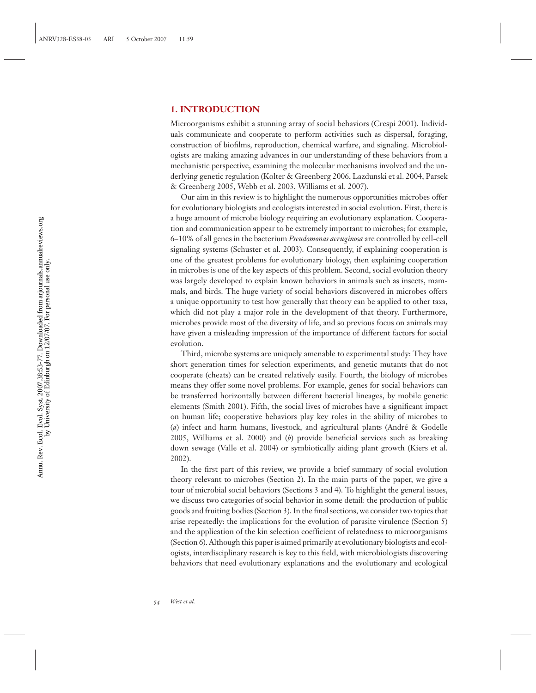# **1. INTRODUCTION**

Microorganisms exhibit a stunning array of social behaviors (Crespi 2001). Individuals communicate and cooperate to perform activities such as dispersal, foraging, construction of biofilms, reproduction, chemical warfare, and signaling. Microbiologists are making amazing advances in our understanding of these behaviors from a mechanistic perspective, examining the molecular mechanisms involved and the underlying genetic regulation (Kolter & Greenberg 2006, Lazdunski et al. 2004, Parsek & Greenberg 2005, Webb et al. 2003, Williams et al. 2007).

Our aim in this review is to highlight the numerous opportunities microbes offer for evolutionary biologists and ecologists interested in social evolution. First, there is a huge amount of microbe biology requiring an evolutionary explanation. Cooperation and communication appear to be extremely important to microbes; for example, 6–10% of all genes in the bacterium *Pseudomonas aeruginosa* are controlled by cell-cell signaling systems (Schuster et al. 2003). Consequently, if explaining cooperation is one of the greatest problems for evolutionary biology, then explaining cooperation in microbes is one of the key aspects of this problem. Second, social evolution theory was largely developed to explain known behaviors in animals such as insects, mammals, and birds. The huge variety of social behaviors discovered in microbes offers a unique opportunity to test how generally that theory can be applied to other taxa, which did not play a major role in the development of that theory. Furthermore, microbes provide most of the diversity of life, and so previous focus on animals may have given a misleading impression of the importance of different factors for social evolution.

Third, microbe systems are uniquely amenable to experimental study: They have short generation times for selection experiments, and genetic mutants that do not cooperate (cheats) can be created relatively easily. Fourth, the biology of microbes means they offer some novel problems. For example, genes for social behaviors can be transferred horizontally between different bacterial lineages, by mobile genetic elements (Smith 2001). Fifth, the social lives of microbes have a significant impact on human life; cooperative behaviors play key roles in the ability of microbes to (a) infect and harm humans, livestock, and agricultural plants (André & Godelle 2005, Williams et al. 2000) and (*b*) provide beneficial services such as breaking down sewage (Valle et al. 2004) or symbiotically aiding plant growth (Kiers et al. 2002).

In the first part of this review, we provide a brief summary of social evolution theory relevant to microbes (Section 2). In the main parts of the paper, we give a tour of microbial social behaviors (Sections 3 and 4). To highlight the general issues, we discuss two categories of social behavior in some detail: the production of public goods and fruiting bodies (Section 3). In the final sections, we consider two topics that arise repeatedly: the implications for the evolution of parasite virulence (Section 5) and the application of the kin selection coefficient of relatedness to microorganisms (Section 6). Although this paper is aimed primarily at evolutionary biologists and ecologists, interdisciplinary research is key to this field, with microbiologists discovering behaviors that need evolutionary explanations and the evolutionary and ecological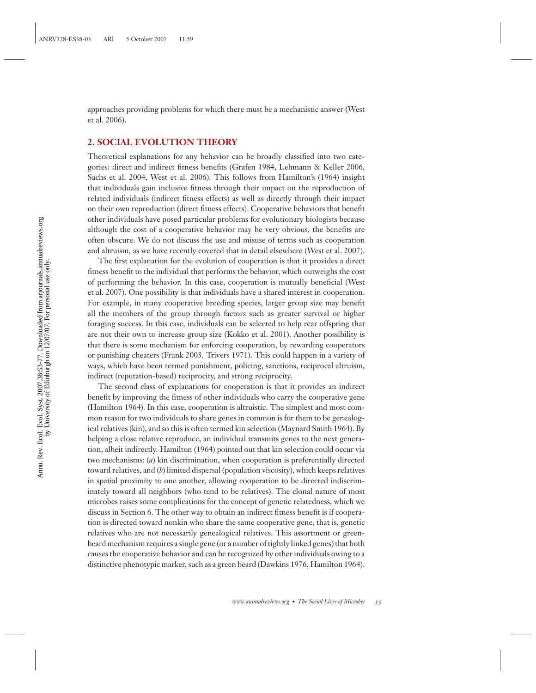approaches providing problems for which there must be a mechanistic answer (West et al. 2006).

# **2. SOCIAL EVOLUTION THEORY**

Theoretical explanations for any behavior can be broadly classified into two categories: direct and indirect fitness benefits (Grafen 1984, Lehmann & Keller 2006, Sachs et al. 2004, West et al. 2006). This follows from Hamilton's (1964) insight that individuals gain inclusive fitness through their impact on the reproduction of related individuals (indirect fitness effects) as well as directly through their impact on their own reproduction (direct fitness effects). Cooperative behaviors that benefit other individuals have posed particular problems for evolutionary biologists because although the cost of a cooperative behavior may be very obvious, the benefits are often obscure. We do not discuss the use and misuse of terms such as cooperation and altruism, as we have recently covered that in detail elsewhere (West et al. 2007).

The first explanation for the evolution of cooperation is that it provides a direct fitness benefit to the individual that performs the behavior, which outweighs the cost of performing the behavior. In this case, cooperation is mutually beneficial (West et al. 2007). One possibility is that individuals have a shared interest in cooperation. For example, in many cooperative breeding species, larger group size may benefit all the members of the group through factors such as greater survival or higher foraging success. In this case, individuals can be selected to help rear offspring that are not their own to increase group size (Kokko et al. 2001). Another possibility is that there is some mechanism for enforcing cooperation, by rewarding cooperators or punishing cheaters (Frank 2003, Trivers 1971). This could happen in a variety of ways, which have been termed punishment, policing, sanctions, reciprocal altruism, indirect (reputation-based) reciprocity, and strong reciprocity.

The second class of explanations for cooperation is that it provides an indirect benefit by improving the fitness of other individuals who carry the cooperative gene (Hamilton 1964). In this case, cooperation is altruistic. The simplest and most common reason for two individuals to share genes in common is for them to be genealogical relatives (kin), and so this is often termed kin selection (Maynard Smith 1964). By helping a close relative reproduce, an individual transmits genes to the next generation, albeit indirectly. Hamilton (1964) pointed out that kin selection could occur via two mechanisms: (*a*) kin discrimination, when cooperation is preferentially directed toward relatives, and (*b*) limited dispersal (population viscosity), which keeps relatives in spatial proximity to one another, allowing cooperation to be directed indiscriminately toward all neighbors (who tend to be relatives). The clonal nature of most microbes raises some complications for the concept of genetic relatedness, which we discuss in Section 6. The other way to obtain an indirect fitness benefit is if cooperation is directed toward nonkin who share the same cooperative gene, that is, genetic relatives who are not necessarily genealogical relatives. This assortment or greenbeard mechanism requires a single gene (or a number of tightly linked genes) that both causes the cooperative behavior and can be recognized by other individuals owing to a distinctive phenotypic marker, such as a green beard (Dawkins 1976, Hamilton 1964).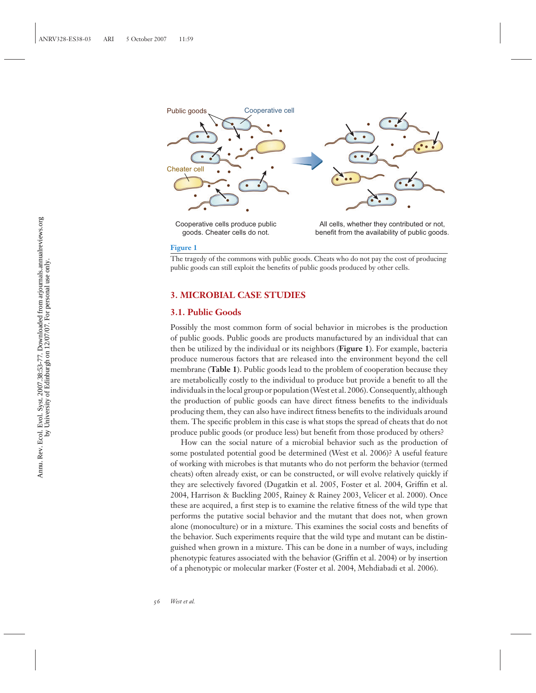

Cooperative cells produce public goods. Cheater cells do not.

All cells, whether they contributed or not, benefit from the availability of public goods.

#### **Figure 1**

The tragedy of the commons with public goods. Cheats who do not pay the cost of producing public goods can still exploit the benefits of public goods produced by other cells.

# **3. MICROBIAL CASE STUDIES**

# **3.1. Public Goods**

Possibly the most common form of social behavior in microbes is the production of public goods. Public goods are products manufactured by an individual that can then be utilized by the individual or its neighbors (**Figure 1**). For example, bacteria produce numerous factors that are released into the environment beyond the cell membrane (**Table 1**). Public goods lead to the problem of cooperation because they are metabolically costly to the individual to produce but provide a benefit to all the individuals in the local group or population (West et al. 2006). Consequently, although the production of public goods can have direct fitness benefits to the individuals producing them, they can also have indirect fitness benefits to the individuals around them. The specific problem in this case is what stops the spread of cheats that do not produce public goods (or produce less) but benefit from those produced by others?

How can the social nature of a microbial behavior such as the production of some postulated potential good be determined (West et al. 2006)? A useful feature of working with microbes is that mutants who do not perform the behavior (termed cheats) often already exist, or can be constructed, or will evolve relatively quickly if they are selectively favored (Dugatkin et al. 2005, Foster et al. 2004, Griffin et al. 2004, Harrison & Buckling 2005, Rainey & Rainey 2003, Velicer et al. 2000). Once these are acquired, a first step is to examine the relative fitness of the wild type that performs the putative social behavior and the mutant that does not, when grown alone (monoculture) or in a mixture. This examines the social costs and benefits of the behavior. Such experiments require that the wild type and mutant can be distinguished when grown in a mixture. This can be done in a number of ways, including phenotypic features associated with the behavior (Griffin et al. 2004) or by insertion of a phenotypic or molecular marker (Foster et al. 2004, Mehdiabadi et al. 2006).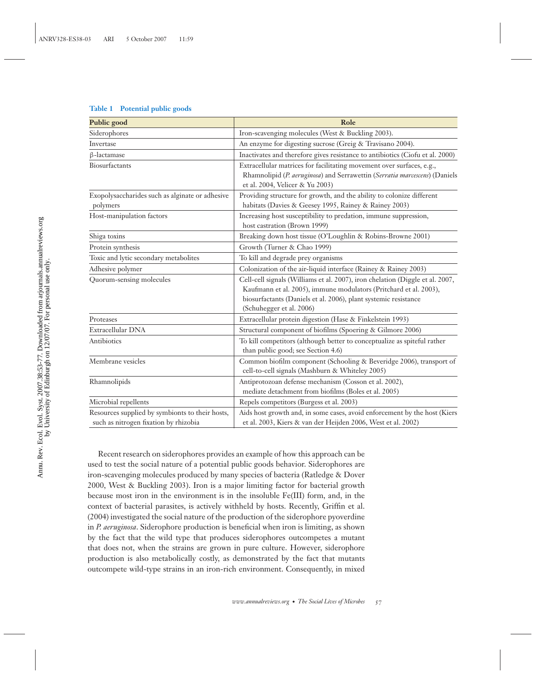#### **Table 1 Potential public goods**

| <b>Public good</b>                                                                       | Role                                                                                                                                                                                                                                              |
|------------------------------------------------------------------------------------------|---------------------------------------------------------------------------------------------------------------------------------------------------------------------------------------------------------------------------------------------------|
| Siderophores                                                                             | Iron-scavenging molecules (West & Buckling 2003).                                                                                                                                                                                                 |
| Invertase                                                                                | An enzyme for digesting sucrose (Greig & Travisano 2004).                                                                                                                                                                                         |
| β-lactamase                                                                              | Inactivates and therefore gives resistance to antibiotics (Ciofu et al. 2000)                                                                                                                                                                     |
| Biosurfactants                                                                           | Extracellular matrices for facilitating movement over surfaces, e.g.,<br>Rhamnolipid (P. aeruginosa) and Serrawettin (Serratia marcescens) (Daniels<br>et al. 2004, Velicer & Yu 2003)                                                            |
| Exopolysaccharides such as alginate or adhesive<br>polymers                              | Providing structure for growth, and the ability to colonize different<br>habitats (Davies & Geesey 1995, Rainey & Rainey 2003)                                                                                                                    |
| Host-manipulation factors                                                                | Increasing host susceptibility to predation, immune suppression,<br>host castration (Brown 1999)                                                                                                                                                  |
| Shiga toxins                                                                             | Breaking down host tissue (O'Loughlin & Robins-Browne 2001)                                                                                                                                                                                       |
| Protein synthesis                                                                        | Growth (Turner & Chao 1999)                                                                                                                                                                                                                       |
| Toxic and lytic secondary metabolites                                                    | To kill and degrade prey organisms                                                                                                                                                                                                                |
| Adhesive polymer                                                                         | Colonization of the air-liquid interface (Rainey & Rainey 2003)                                                                                                                                                                                   |
| Quorum-sensing molecules                                                                 | Cell-cell signals (Williams et al. 2007), iron chelation (Diggle et al. 2007,<br>Kaufmann et al. 2005), immune modulators (Pritchard et al. 2003),<br>biosurfactants (Daniels et al. 2006), plant systemic resistance<br>(Schuhegger et al. 2006) |
| Proteases                                                                                | Extracellular protein digestion (Hase & Finkelstein 1993)                                                                                                                                                                                         |
| Extracellular DNA                                                                        | Structural component of biofilms (Spoering & Gilmore 2006)                                                                                                                                                                                        |
| Antibiotics                                                                              | To kill competitors (although better to conceptualize as spiteful rather<br>than public good; see Section 4.6)                                                                                                                                    |
| Membrane vesicles                                                                        | Common biofilm component (Schooling & Beveridge 2006), transport of<br>cell-to-cell signals (Mashburn & Whiteley 2005)                                                                                                                            |
| Rhamnolipids                                                                             | Antiprotozoan defense mechanism (Cosson et al. 2002),<br>mediate detachment from biofilms (Boles et al. 2005)                                                                                                                                     |
| Microbial repellents                                                                     | Repels competitors (Burgess et al. 2003)                                                                                                                                                                                                          |
| Resources supplied by symbionts to their hosts,<br>such as nitrogen fixation by rhizobia | Aids host growth and, in some cases, avoid enforcement by the host (Kiers<br>et al. 2003, Kiers & van der Heijden 2006, West et al. 2002)                                                                                                         |

Recent research on siderophores provides an example of how this approach can be used to test the social nature of a potential public goods behavior. Siderophores are iron-scavenging molecules produced by many species of bacteria (Ratledge & Dover 2000, West & Buckling 2003). Iron is a major limiting factor for bacterial growth because most iron in the environment is in the insoluble Fe(III) form, and, in the context of bacterial parasites, is actively withheld by hosts. Recently, Griffin et al. (2004) investigated the social nature of the production of the siderophore pyoverdine in *P. aeruginosa*. Siderophore production is beneficial when iron is limiting, as shown by the fact that the wild type that produces siderophores outcompetes a mutant that does not, when the strains are grown in pure culture. However, siderophore production is also metabolically costly, as demonstrated by the fact that mutants outcompete wild-type strains in an iron-rich environment. Consequently, in mixed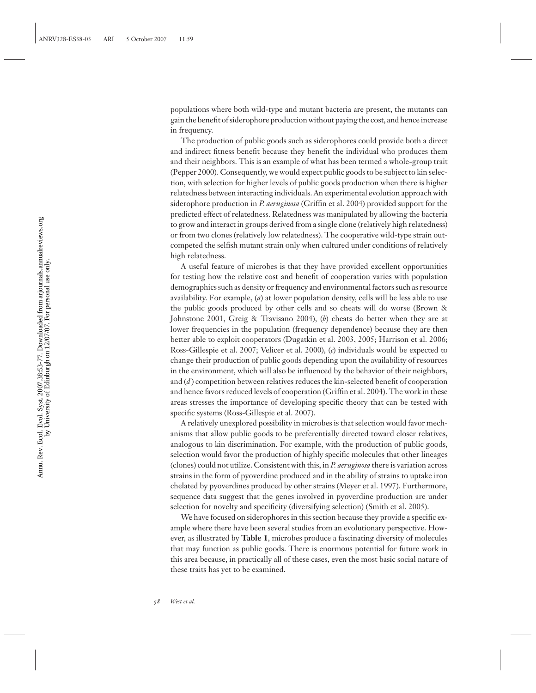populations where both wild-type and mutant bacteria are present, the mutants can gain the benefit of siderophore production without paying the cost, and hence increase in frequency.

The production of public goods such as siderophores could provide both a direct and indirect fitness benefit because they benefit the individual who produces them and their neighbors. This is an example of what has been termed a whole-group trait (Pepper 2000). Consequently, we would expect public goods to be subject to kin selection, with selection for higher levels of public goods production when there is higher relatedness between interacting individuals. An experimental evolution approach with siderophore production in *P. aeruginosa* (Griffin et al. 2004) provided support for the predicted effect of relatedness. Relatedness was manipulated by allowing the bacteria to grow and interact in groups derived from a single clone (relatively high relatedness) or from two clones (relatively low relatedness). The cooperative wild-type strain outcompeted the selfish mutant strain only when cultured under conditions of relatively high relatedness.

A useful feature of microbes is that they have provided excellent opportunities for testing how the relative cost and benefit of cooperation varies with population demographics such as density or frequency and environmental factors such as resource availability. For example, (*a*) at lower population density, cells will be less able to use the public goods produced by other cells and so cheats will do worse (Brown & Johnstone 2001, Greig & Travisano 2004), (*b*) cheats do better when they are at lower frequencies in the population (frequency dependence) because they are then better able to exploit cooperators (Dugatkin et al. 2003, 2005; Harrison et al. 2006; Ross-Gillespie et al. 2007; Velicer et al. 2000), (*c*) individuals would be expected to change their production of public goods depending upon the availability of resources in the environment, which will also be influenced by the behavior of their neighbors, and (*d* ) competition between relatives reduces the kin-selected benefit of cooperation and hence favors reduced levels of cooperation (Griffin et al. 2004). The work in these areas stresses the importance of developing specific theory that can be tested with specific systems (Ross-Gillespie et al. 2007).

A relatively unexplored possibility in microbes is that selection would favor mechanisms that allow public goods to be preferentially directed toward closer relatives, analogous to kin discrimination. For example, with the production of public goods, selection would favor the production of highly specific molecules that other lineages (clones) could not utilize. Consistent with this, in *P. aeruginosa* there is variation across strains in the form of pyoverdine produced and in the ability of strains to uptake iron chelated by pyoverdines produced by other strains (Meyer et al. 1997). Furthermore, sequence data suggest that the genes involved in pyoverdine production are under selection for novelty and specificity (diversifying selection) (Smith et al. 2005).

We have focused on siderophores in this section because they provide a specific example where there have been several studies from an evolutionary perspective. However, as illustrated by **Table 1**, microbes produce a fascinating diversity of molecules that may function as public goods. There is enormous potential for future work in this area because, in practically all of these cases, even the most basic social nature of these traits has yet to be examined.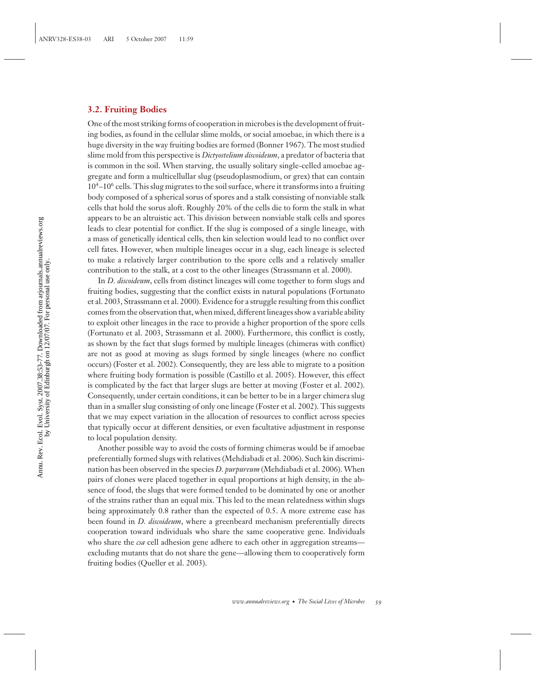# **3.2. Fruiting Bodies**

One of the most striking forms of cooperation in microbes is the development of fruiting bodies, as found in the cellular slime molds, or social amoebae, in which there is a huge diversity in the way fruiting bodies are formed (Bonner 1967). The most studied slime mold from this perspective is *Dictyostelium discoideum*, a predator of bacteria that is common in the soil. When starving, the usually solitary single-celled amoebae aggregate and form a multicellullar slug (pseudoplasmodium, or grex) that can contain  $10^4$ – $10^6$  cells. This slug migrates to the soil surface, where it transforms into a fruiting body composed of a spherical sorus of spores and a stalk consisting of nonviable stalk cells that hold the sorus aloft. Roughly 20% of the cells die to form the stalk in what appears to be an altruistic act. This division between nonviable stalk cells and spores leads to clear potential for conflict. If the slug is composed of a single lineage, with a mass of genetically identical cells, then kin selection would lead to no conflict over cell fates. However, when multiple lineages occur in a slug, each lineage is selected to make a relatively larger contribution to the spore cells and a relatively smaller contribution to the stalk, at a cost to the other lineages (Strassmann et al. 2000).

In *D. discoideum*, cells from distinct lineages will come together to form slugs and fruiting bodies, suggesting that the conflict exists in natural populations (Fortunato et al. 2003, Strassmann et al. 2000). Evidence for a struggle resulting from this conflict comes from the observation that, when mixed, different lineages show a variable ability to exploit other lineages in the race to provide a higher proportion of the spore cells (Fortunato et al. 2003, Strassmann et al. 2000). Furthermore, this conflict is costly, as shown by the fact that slugs formed by multiple lineages (chimeras with conflict) are not as good at moving as slugs formed by single lineages (where no conflict occurs) (Foster et al. 2002). Consequently, they are less able to migrate to a position where fruiting body formation is possible (Castillo et al. 2005). However, this effect is complicated by the fact that larger slugs are better at moving (Foster et al. 2002). Consequently, under certain conditions, it can be better to be in a larger chimera slug than in a smaller slug consisting of only one lineage (Foster et al. 2002). This suggests that we may expect variation in the allocation of resources to conflict across species that typically occur at different densities, or even facultative adjustment in response to local population density.

Another possible way to avoid the costs of forming chimeras would be if amoebae preferentially formed slugs with relatives (Mehdiabadi et al. 2006). Such kin discrimination has been observed in the species *D. purpureum* (Mehdiabadi et al. 2006). When pairs of clones were placed together in equal proportions at high density, in the absence of food, the slugs that were formed tended to be dominated by one or another of the strains rather than an equal mix. This led to the mean relatedness within slugs being approximately 0.8 rather than the expected of 0.5. A more extreme case has been found in *D. discoideum*, where a greenbeard mechanism preferentially directs cooperation toward individuals who share the same cooperative gene. Individuals who share the *csa* cell adhesion gene adhere to each other in aggregation streams excluding mutants that do not share the gene—allowing them to cooperatively form fruiting bodies (Queller et al. 2003).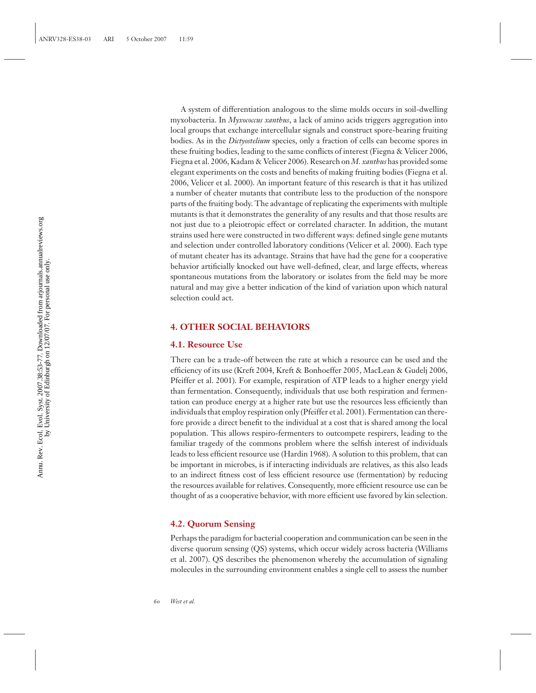A system of differentiation analogous to the slime molds occurs in soil-dwelling myxobacteria. In *Myxococcus xanthus*, a lack of amino acids triggers aggregation into local groups that exchange intercellular signals and construct spore-bearing fruiting bodies. As in the *Dictyostelium* species, only a fraction of cells can become spores in these fruiting bodies, leading to the same conflicts of interest (Fiegna & Velicer 2006, Fiegna et al. 2006, Kadam & Velicer 2006). Research on *M. xanthus* has provided some elegant experiments on the costs and benefits of making fruiting bodies (Fiegna et al. 2006, Velicer et al. 2000). An important feature of this research is that it has utilized a number of cheater mutants that contribute less to the production of the nonspore parts of the fruiting body. The advantage of replicating the experiments with multiple mutants is that it demonstrates the generality of any results and that those results are not just due to a pleiotropic effect or correlated character. In addition, the mutant strains used here were constructed in two different ways: defined single gene mutants and selection under controlled laboratory conditions (Velicer et al. 2000). Each type of mutant cheater has its advantage. Strains that have had the gene for a cooperative behavior artificially knocked out have well-defined, clear, and large effects, whereas spontaneous mutations from the laboratory or isolates from the field may be more natural and may give a better indication of the kind of variation upon which natural selection could act.

#### **4. OTHER SOCIAL BEHAVIORS**

#### **4.1. Resource Use**

There can be a trade-off between the rate at which a resource can be used and the efficiency of its use (Kreft 2004, Kreft & Bonhoeffer 2005, MacLean & Gudelj 2006, Pfeiffer et al. 2001). For example, respiration of ATP leads to a higher energy yield than fermentation. Consequently, individuals that use both respiration and fermentation can produce energy at a higher rate but use the resources less efficiently than individuals that employ respiration only (Pfeiffer et al. 2001). Fermentation can therefore provide a direct benefit to the individual at a cost that is shared among the local population. This allows respiro-fermenters to outcompete respirers, leading to the familiar tragedy of the commons problem where the selfish interest of individuals leads to less efficient resource use (Hardin 1968). A solution to this problem, that can be important in microbes, is if interacting individuals are relatives, as this also leads to an indirect fitness cost of less efficient resource use (fermentation) by reducing the resources available for relatives. Consequently, more efficient resource use can be thought of as a cooperative behavior, with more efficient use favored by kin selection.

#### **4.2. Quorum Sensing**

Perhaps the paradigm for bacterial cooperation and communication can be seen in the diverse quorum sensing (QS) systems, which occur widely across bacteria (Williams et al. 2007). QS describes the phenomenon whereby the accumulation of signaling molecules in the surrounding environment enables a single cell to assess the number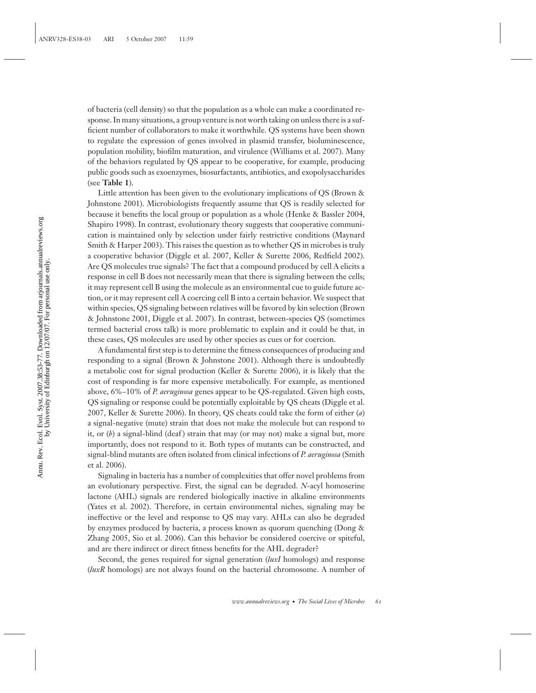of bacteria (cell density) so that the population as a whole can make a coordinated response. In many situations, a group venture is not worth taking on unless there is a sufficient number of collaborators to make it worthwhile. QS systems have been shown to regulate the expression of genes involved in plasmid transfer, bioluminescence, population mobility, biofilm maturation, and virulence (Williams et al. 2007). Many of the behaviors regulated by QS appear to be cooperative, for example, producing public goods such as exoenzymes, biosurfactants, antibiotics, and exopolysaccharides (see **Table 1**).

Little attention has been given to the evolutionary implications of QS (Brown & Johnstone 2001). Microbiologists frequently assume that QS is readily selected for because it benefits the local group or population as a whole (Henke & Bassler 2004, Shapiro 1998). In contrast, evolutionary theory suggests that cooperative communication is maintained only by selection under fairly restrictive conditions (Maynard Smith & Harper 2003). This raises the question as to whether QS in microbes is truly a cooperative behavior (Diggle et al. 2007, Keller & Surette 2006, Redfield 2002). Are QS molecules true signals? The fact that a compound produced by cell A elicits a response in cell B does not necessarily mean that there is signaling between the cells; it may represent cell B using the molecule as an environmental cue to guide future action, or it may represent cell A coercing cell B into a certain behavior. We suspect that within species, QS signaling between relatives will be favored by kin selection (Brown & Johnstone 2001, Diggle et al. 2007). In contrast, between-species QS (sometimes termed bacterial cross talk) is more problematic to explain and it could be that, in these cases, QS molecules are used by other species as cues or for coercion.

A fundamental first step is to determine the fitness consequences of producing and responding to a signal (Brown & Johnstone 2001). Although there is undoubtedly a metabolic cost for signal production (Keller & Surette 2006), it is likely that the cost of responding is far more expensive metabolically. For example, as mentioned above, 6%–10% of *P. aeruginosa* genes appear to be QS-regulated. Given high costs, QS signaling or response could be potentially exploitable by QS cheats (Diggle et al. 2007, Keller & Surette 2006). In theory, QS cheats could take the form of either (*a*) a signal-negative (mute) strain that does not make the molecule but can respond to it, or  $(b)$  a signal-blind (deaf) strain that may (or may not) make a signal but, more importantly, does not respond to it. Both types of mutants can be constructed, and signal-blind mutants are often isolated from clinical infections of *P. aeruginosa* (Smith et al. 2006).

Signaling in bacteria has a number of complexities that offer novel problems from an evolutionary perspective. First, the signal can be degraded. *N-*acyl homoserine lactone (AHL) signals are rendered biologically inactive in alkaline environments (Yates et al. 2002). Therefore, in certain environmental niches, signaling may be ineffective or the level and response to QS may vary. AHLs can also be degraded by enzymes produced by bacteria, a process known as quorum quenching (Dong & Zhang 2005, Sio et al. 2006). Can this behavior be considered coercive or spiteful, and are there indirect or direct fitness benefits for the AHL degrader?

Second, the genes required for signal generation (*luxI* homologs) and response (*luxR* homologs) are not always found on the bacterial chromosome. A number of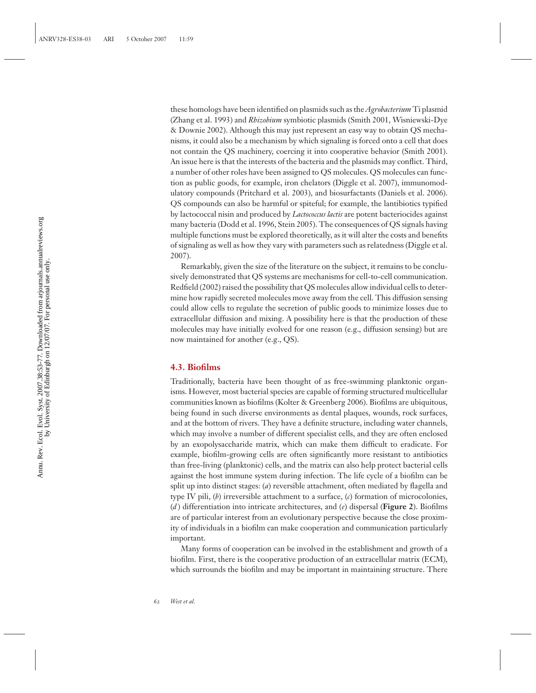these homologs have been identified on plasmids such as the *Agrobacterium* Ti plasmid (Zhang et al. 1993) and *Rhizobium* symbiotic plasmids (Smith 2001, Wisniewski-Dye & Downie 2002). Although this may just represent an easy way to obtain QS mechanisms, it could also be a mechanism by which signaling is forced onto a cell that does not contain the QS machinery, coercing it into cooperative behavior (Smith 2001). An issue here is that the interests of the bacteria and the plasmids may conflict. Third, a number of other roles have been assigned to QS molecules. QS molecules can function as public goods, for example, iron chelators (Diggle et al. 2007), immunomodulatory compounds (Pritchard et al. 2003), and biosurfactants (Daniels et al. 2006). QS compounds can also be harmful or spiteful; for example, the lantibiotics typified by lactococcal nisin and produced by *Lactococcus lactis* are potent bacteriocides against many bacteria (Dodd et al. 1996, Stein 2005). The consequences of QS signals having multiple functions must be explored theoretically, as it will alter the costs and benefits of signaling as well as how they vary with parameters such as relatedness (Diggle et al. 2007).

Remarkably, given the size of the literature on the subject, it remains to be conclusively demonstrated that QS systems are mechanisms for cell-to-cell communication. Redfield (2002) raised the possibility that QS molecules allow individual cells to determine how rapidly secreted molecules move away from the cell. This diffusion sensing could allow cells to regulate the secretion of public goods to minimize losses due to extracellular diffusion and mixing. A possibility here is that the production of these molecules may have initially evolved for one reason (e.g., diffusion sensing) but are now maintained for another (e.g., QS).

# **4.3. Biofilms**

Traditionally, bacteria have been thought of as free-swimming planktonic organisms. However, most bacterial species are capable of forming structured multicellular communities known as biofilms (Kolter & Greenberg 2006). Biofilms are ubiquitous, being found in such diverse environments as dental plaques, wounds, rock surfaces, and at the bottom of rivers. They have a definite structure, including water channels, which may involve a number of different specialist cells, and they are often enclosed by an exopolysaccharide matrix, which can make them difficult to eradicate. For example, biofilm-growing cells are often significantly more resistant to antibiotics than free-living (planktonic) cells, and the matrix can also help protect bacterial cells against the host immune system during infection. The life cycle of a biofilm can be split up into distinct stages: (*a*) reversible attachment, often mediated by flagella and type IV pili, (*b*) irreversible attachment to a surface, (*c*) formation of microcolonies, (*d* ) differentiation into intricate architectures, and (*e*) dispersal (**Figure 2**). Biofilms are of particular interest from an evolutionary perspective because the close proximity of individuals in a biofilm can make cooperation and communication particularly important.

Many forms of cooperation can be involved in the establishment and growth of a biofilm. First, there is the cooperative production of an extracellular matrix (ECM), which surrounds the biofilm and may be important in maintaining structure. There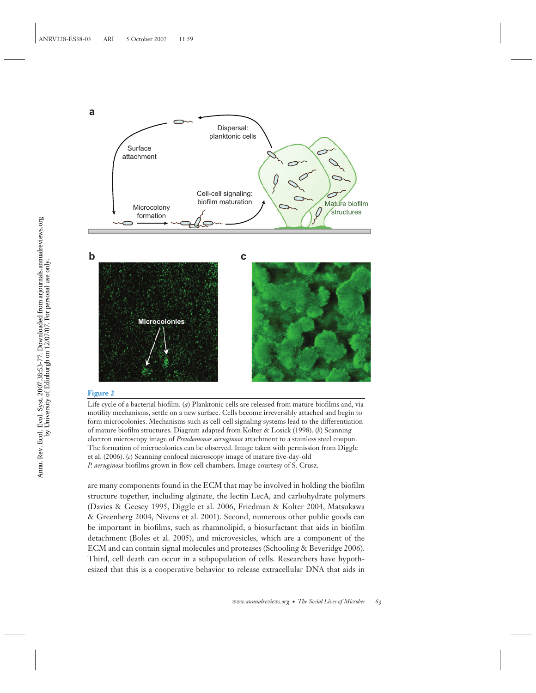



#### **Figure 2**

**a**

Life cycle of a bacterial biofilm. (*a*) Planktonic cells are released from mature biofilms and, via motility mechanisms, settle on a new surface. Cells become irreversibly attached and begin to form microcolonies. Mechanisms such as cell-cell signaling systems lead to the differentiation of mature biofilm structures. Diagram adapted from Kolter & Losick (1998). (*b*) Scanning electron microscopy image of *Pseudomonas aeruginosa* attachment to a stainless steel coupon. The formation of microcolonies can be observed. Image taken with permission from Diggle et al. (2006). (*c*) Scanning confocal microscopy image of mature five-day-old *P. aeruginosa* biofilms grown in flow cell chambers. Image courtesy of S. Crusz.

are many components found in the ECM that may be involved in holding the biofilm structure together, including alginate, the lectin LecA, and carbohydrate polymers (Davies & Geesey 1995, Diggle et al. 2006, Friedman & Kolter 2004, Matsukawa & Greenberg 2004, Nivens et al. 2001). Second, numerous other public goods can be important in biofilms, such as rhamnolipid, a biosurfactant that aids in biofilm detachment (Boles et al. 2005), and microvesicles, which are a component of the ECM and can contain signal molecules and proteases (Schooling & Beveridge 2006). Third, cell death can occur in a subpopulation of cells. Researchers have hypothesized that this is a cooperative behavior to release extracellular DNA that aids in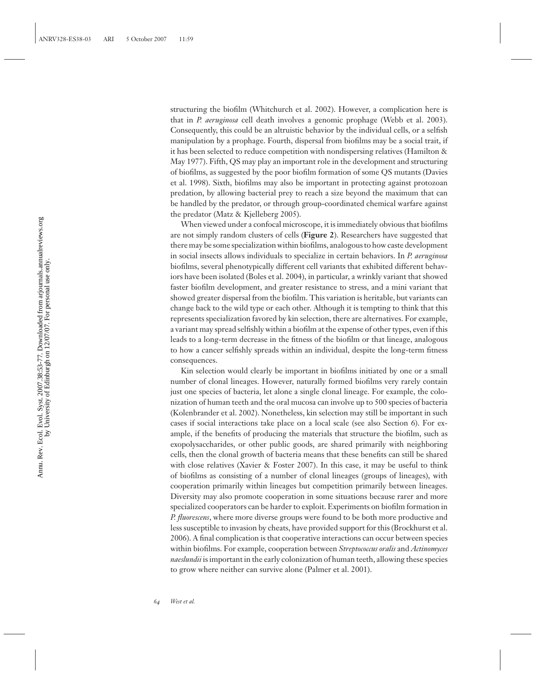structuring the biofilm (Whitchurch et al. 2002). However, a complication here is that in *P. aeruginosa* cell death involves a genomic prophage (Webb et al. 2003). Consequently, this could be an altruistic behavior by the individual cells, or a selfish manipulation by a prophage. Fourth, dispersal from biofilms may be a social trait, if it has been selected to reduce competition with nondispersing relatives (Hamilton & May 1977). Fifth, QS may play an important role in the development and structuring of biofilms, as suggested by the poor biofilm formation of some QS mutants (Davies et al. 1998). Sixth, biofilms may also be important in protecting against protozoan predation, by allowing bacterial prey to reach a size beyond the maximum that can be handled by the predator, or through group-coordinated chemical warfare against the predator (Matz & Kjelleberg 2005).

When viewed under a confocal microscope, it is immediately obvious that biofilms are not simply random clusters of cells (**Figure 2**). Researchers have suggested that there may be some specialization within biofilms, analogous to how caste development in social insects allows individuals to specialize in certain behaviors. In *P. aeruginosa* biofilms, several phenotypically different cell variants that exhibited different behaviors have been isolated (Boles et al. 2004), in particular, a wrinkly variant that showed faster biofilm development, and greater resistance to stress, and a mini variant that showed greater dispersal from the biofilm. This variation is heritable, but variants can change back to the wild type or each other. Although it is tempting to think that this represents specialization favored by kin selection, there are alternatives. For example, a variant may spread selfishly within a biofilm at the expense of other types, even if this leads to a long-term decrease in the fitness of the biofilm or that lineage, analogous to how a cancer selfishly spreads within an individual, despite the long-term fitness consequences.

Kin selection would clearly be important in biofilms initiated by one or a small number of clonal lineages. However, naturally formed biofilms very rarely contain just one species of bacteria, let alone a single clonal lineage. For example, the colonization of human teeth and the oral mucosa can involve up to 500 species of bacteria (Kolenbrander et al. 2002). Nonetheless, kin selection may still be important in such cases if social interactions take place on a local scale (see also Section 6). For example, if the benefits of producing the materials that structure the biofilm, such as exopolysaccharides, or other public goods, are shared primarily with neighboring cells, then the clonal growth of bacteria means that these benefits can still be shared with close relatives (Xavier & Foster 2007). In this case, it may be useful to think of biofilms as consisting of a number of clonal lineages (groups of lineages), with cooperation primarily within lineages but competition primarily between lineages. Diversity may also promote cooperation in some situations because rarer and more specialized cooperators can be harder to exploit. Experiments on biofilm formation in *P. fluorescens*, where more diverse groups were found to be both more productive and less susceptible to invasion by cheats, have provided support for this (Brockhurst et al. 2006). A final complication is that cooperative interactions can occur between species within biofilms. For example, cooperation between *Streptococcus oralis* and *Actinomyces naeslundii* is important in the early colonization of human teeth, allowing these species to grow where neither can survive alone (Palmer et al. 2001).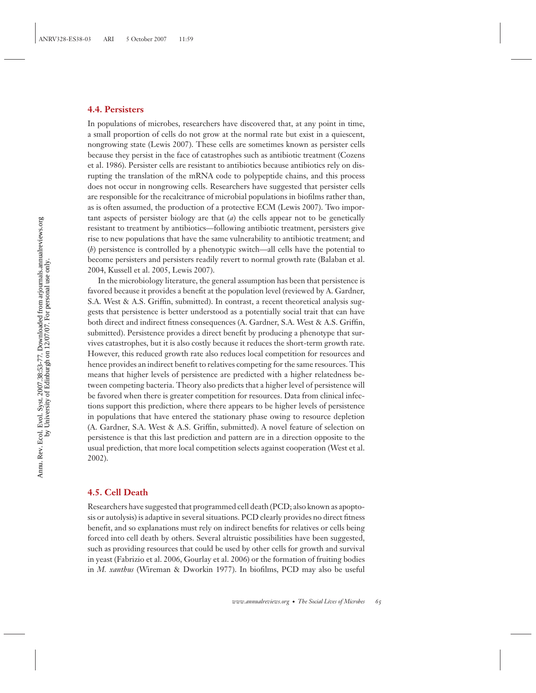# **4.4. Persisters**

In populations of microbes, researchers have discovered that, at any point in time, a small proportion of cells do not grow at the normal rate but exist in a quiescent, nongrowing state (Lewis 2007). These cells are sometimes known as persister cells because they persist in the face of catastrophes such as antibiotic treatment (Cozens et al. 1986). Persister cells are resistant to antibiotics because antibiotics rely on disrupting the translation of the mRNA code to polypeptide chains, and this process does not occur in nongrowing cells. Researchers have suggested that persister cells are responsible for the recalcitrance of microbial populations in biofilms rather than, as is often assumed, the production of a protective ECM (Lewis 2007). Two important aspects of persister biology are that (*a*) the cells appear not to be genetically resistant to treatment by antibiotics—following antibiotic treatment, persisters give rise to new populations that have the same vulnerability to antibiotic treatment; and (*b*) persistence is controlled by a phenotypic switch—all cells have the potential to become persisters and persisters readily revert to normal growth rate (Balaban et al. 2004, Kussell et al. 2005, Lewis 2007).

In the microbiology literature, the general assumption has been that persistence is favored because it provides a benefit at the population level (reviewed by A. Gardner, S.A. West & A.S. Griffin, submitted). In contrast, a recent theoretical analysis suggests that persistence is better understood as a potentially social trait that can have both direct and indirect fitness consequences (A. Gardner, S.A. West & A.S. Griffin, submitted). Persistence provides a direct benefit by producing a phenotype that survives catastrophes, but it is also costly because it reduces the short-term growth rate. However, this reduced growth rate also reduces local competition for resources and hence provides an indirect benefit to relatives competing for the same resources. This means that higher levels of persistence are predicted with a higher relatedness between competing bacteria. Theory also predicts that a higher level of persistence will be favored when there is greater competition for resources. Data from clinical infections support this prediction, where there appears to be higher levels of persistence in populations that have entered the stationary phase owing to resource depletion (A. Gardner, S.A. West & A.S. Griffin, submitted). A novel feature of selection on persistence is that this last prediction and pattern are in a direction opposite to the usual prediction, that more local competition selects against cooperation (West et al. 2002).

#### **4.5. Cell Death**

Researchers have suggested that programmed cell death (PCD; also known as apoptosis or autolysis) is adaptive in several situations. PCD clearly provides no direct fitness benefit, and so explanations must rely on indirect benefits for relatives or cells being forced into cell death by others. Several altruistic possibilities have been suggested, such as providing resources that could be used by other cells for growth and survival in yeast (Fabrizio et al. 2006, Gourlay et al. 2006) or the formation of fruiting bodies in *M. xanthus* (Wireman & Dworkin 1977). In biofilms, PCD may also be useful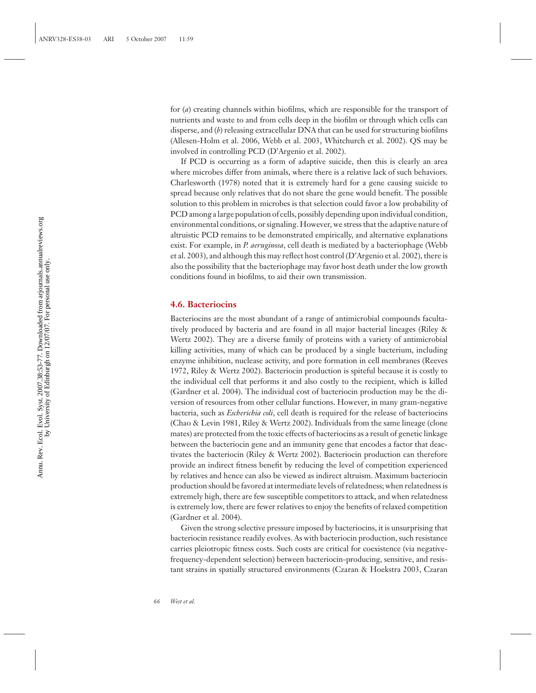for (*a*) creating channels within biofilms, which are responsible for the transport of nutrients and waste to and from cells deep in the biofilm or through which cells can disperse, and (*b*) releasing extracellular DNA that can be used for structuring biofilms (Allesen-Holm et al. 2006, Webb et al. 2003, Whitchurch et al. 2002). QS may be involved in controlling PCD (D'Argenio et al. 2002).

If PCD is occurring as a form of adaptive suicide, then this is clearly an area where microbes differ from animals, where there is a relative lack of such behaviors. Charlesworth (1978) noted that it is extremely hard for a gene causing suicide to spread because only relatives that do not share the gene would benefit. The possible solution to this problem in microbes is that selection could favor a low probability of PCD among a large population of cells, possibly depending upon individual condition, environmental conditions, or signaling. However, we stress that the adaptive nature of altruistic PCD remains to be demonstrated empirically, and alternative explanations exist. For example, in *P. aeruginosa*, cell death is mediated by a bacteriophage (Webb et al. 2003), and although this may reflect host control (D'Argenio et al. 2002), there is also the possibility that the bacteriophage may favor host death under the low growth conditions found in biofilms, to aid their own transmission.

#### **4.6. Bacteriocins**

Bacteriocins are the most abundant of a range of antimicrobial compounds facultatively produced by bacteria and are found in all major bacterial lineages (Riley & Wertz 2002). They are a diverse family of proteins with a variety of antimicrobial killing activities, many of which can be produced by a single bacterium, including enzyme inhibition, nuclease activity, and pore formation in cell membranes (Reeves 1972, Riley & Wertz 2002). Bacteriocin production is spiteful because it is costly to the individual cell that performs it and also costly to the recipient, which is killed (Gardner et al. 2004). The individual cost of bacteriocin production may be the diversion of resources from other cellular functions. However, in many gram-negative bacteria, such as *Escherichia coli*, cell death is required for the release of bacteriocins (Chao & Levin 1981, Riley & Wertz 2002). Individuals from the same lineage (clone mates) are protected from the toxic effects of bacteriocins as a result of genetic linkage between the bacteriocin gene and an immunity gene that encodes a factor that deactivates the bacteriocin (Riley & Wertz 2002). Bacteriocin production can therefore provide an indirect fitness benefit by reducing the level of competition experienced by relatives and hence can also be viewed as indirect altruism. Maximum bacteriocin production should be favored at intermediate levels of relatedness; when relatedness is extremely high, there are few susceptible competitors to attack, and when relatedness is extremely low, there are fewer relatives to enjoy the benefits of relaxed competition (Gardner et al. 2004).

Given the strong selective pressure imposed by bacteriocins, it is unsurprising that bacteriocin resistance readily evolves. As with bacteriocin production, such resistance carries pleiotropic fitness costs. Such costs are critical for coexistence (via negativefrequency-dependent selection) between bacteriocin-producing, sensitive, and resistant strains in spatially structured environments (Czaran & Hoekstra 2003, Czaran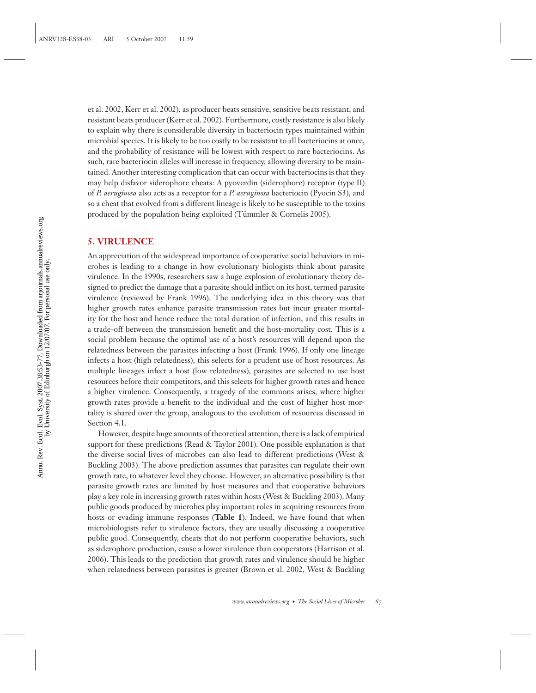et al. 2002, Kerr et al. 2002), as producer beats sensitive, sensitive beats resistant, and resistant beats producer (Kerr et al. 2002). Furthermore, costly resistance is also likely to explain why there is considerable diversity in bacteriocin types maintained within microbial species. It is likely to be too costly to be resistant to all bacteriocins at once, and the probability of resistance will be lowest with respect to rare bacteriocins. As such, rare bacteriocin alleles will increase in frequency, allowing diversity to be maintained. Another interesting complication that can occur with bacteriocins is that they may help disfavor siderophore cheats: A pyoverdin (siderophore) receptor (type II) of *P. aeruginosa* also acts as a receptor for a *P. aeruginosa* bacteriocin (Pyocin S3), and so a cheat that evolved from a different lineage is likely to be susceptible to the toxins produced by the population being exploited (Tümmler & Cornelis 2005).

# **5. VIRULENCE**

An appreciation of the widespread importance of cooperative social behaviors in microbes is leading to a change in how evolutionary biologists think about parasite virulence. In the 1990s, researchers saw a huge explosion of evolutionary theory designed to predict the damage that a parasite should inflict on its host, termed parasite virulence (reviewed by Frank 1996). The underlying idea in this theory was that higher growth rates enhance parasite transmission rates but incur greater mortality for the host and hence reduce the total duration of infection, and this results in a trade-off between the transmission benefit and the host-mortality cost. This is a social problem because the optimal use of a host's resources will depend upon the relatedness between the parasites infecting a host (Frank 1996). If only one lineage infects a host (high relatedness), this selects for a prudent use of host resources. As multiple lineages infect a host (low relatedness), parasites are selected to use host resources before their competitors, and this selects for higher growth rates and hence a higher virulence. Consequently, a tragedy of the commons arises, where higher growth rates provide a benefit to the individual and the cost of higher host mortality is shared over the group, analogous to the evolution of resources discussed in Section 4.1.

However, despite huge amounts of theoretical attention, there is a lack of empirical support for these predictions (Read & Taylor 2001). One possible explanation is that the diverse social lives of microbes can also lead to different predictions (West & Buckling 2003). The above prediction assumes that parasites can regulate their own growth rate, to whatever level they choose. However, an alternative possibility is that parasite growth rates are limited by host measures and that cooperative behaviors play a key role in increasing growth rates within hosts (West & Buckling 2003). Many public goods produced by microbes play important roles in acquiring resources from hosts or evading immune responses (**Table 1**). Indeed, we have found that when microbiologists refer to virulence factors, they are usually discussing a cooperative public good. Consequently, cheats that do not perform cooperative behaviors, such as siderophore production, cause a lower virulence than cooperators (Harrison et al. 2006). This leads to the prediction that growth rates and virulence should be higher when relatedness between parasites is greater (Brown et al. 2002, West & Buckling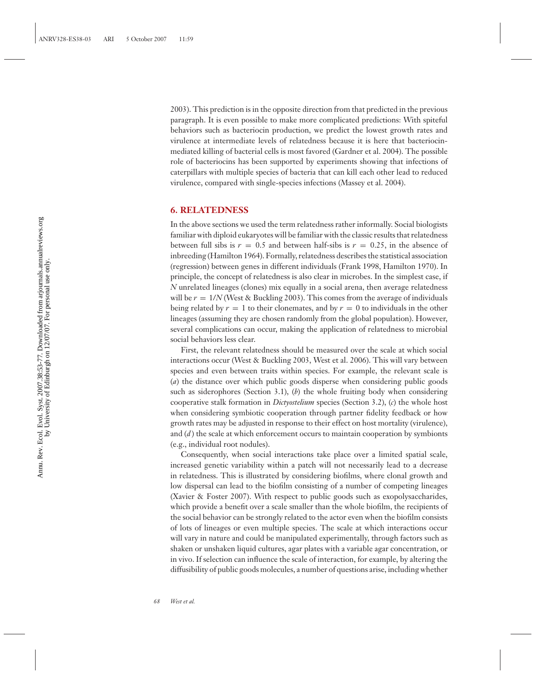2003). This prediction is in the opposite direction from that predicted in the previous paragraph. It is even possible to make more complicated predictions: With spiteful behaviors such as bacteriocin production, we predict the lowest growth rates and virulence at intermediate levels of relatedness because it is here that bacteriocinmediated killing of bacterial cells is most favored (Gardner et al. 2004). The possible role of bacteriocins has been supported by experiments showing that infections of caterpillars with multiple species of bacteria that can kill each other lead to reduced virulence, compared with single-species infections (Massey et al. 2004).

#### **6. RELATEDNESS**

In the above sections we used the term relatedness rather informally. Social biologists familiar with diploid eukaryotes will be familiar with the classic results that relatedness between full sibs is  $r = 0.5$  and between half-sibs is  $r = 0.25$ , in the absence of inbreeding (Hamilton 1964). Formally, relatedness describes the statistical association (regression) between genes in different individuals (Frank 1998, Hamilton 1970). In principle, the concept of relatedness is also clear in microbes. In the simplest case, if *N* unrelated lineages (clones) mix equally in a social arena, then average relatedness will be  $r = 1/N$  (West & Buckling 2003). This comes from the average of individuals being related by  $r = 1$  to their clonemates, and by  $r = 0$  to individuals in the other lineages (assuming they are chosen randomly from the global population). However, several complications can occur, making the application of relatedness to microbial social behaviors less clear.

First, the relevant relatedness should be measured over the scale at which social interactions occur (West & Buckling 2003, West et al. 2006). This will vary between species and even between traits within species. For example, the relevant scale is (*a*) the distance over which public goods disperse when considering public goods such as siderophores (Section 3.1), (*b*) the whole fruiting body when considering cooperative stalk formation in *Dictyostelium* species (Section 3.2), (*c*) the whole host when considering symbiotic cooperation through partner fidelity feedback or how growth rates may be adjusted in response to their effect on host mortality (virulence), and (*d* ) the scale at which enforcement occurs to maintain cooperation by symbionts (e.g., individual root nodules).

Consequently, when social interactions take place over a limited spatial scale, increased genetic variability within a patch will not necessarily lead to a decrease in relatedness. This is illustrated by considering biofilms, where clonal growth and low dispersal can lead to the biofilm consisting of a number of competing lineages (Xavier & Foster 2007). With respect to public goods such as exopolysaccharides, which provide a benefit over a scale smaller than the whole biofilm, the recipients of the social behavior can be strongly related to the actor even when the biofilm consists of lots of lineages or even multiple species. The scale at which interactions occur will vary in nature and could be manipulated experimentally, through factors such as shaken or unshaken liquid cultures, agar plates with a variable agar concentration, or in vivo. If selection can influence the scale of interaction, for example, by altering the diffusibility of public goods molecules, a number of questions arise, including whether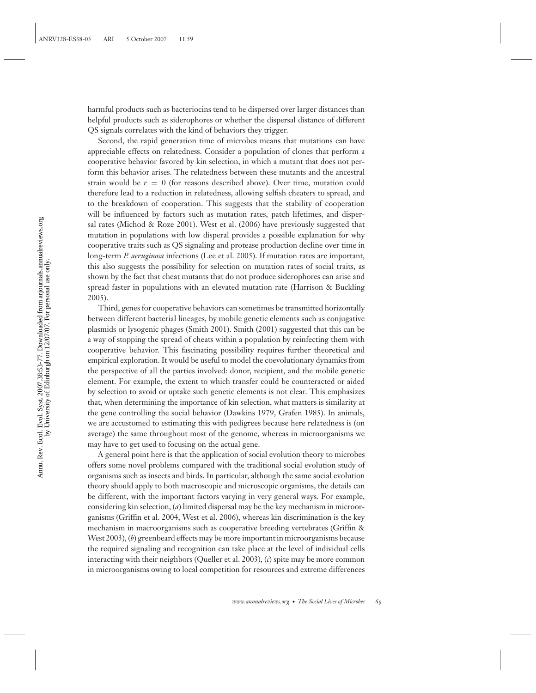harmful products such as bacteriocins tend to be dispersed over larger distances than helpful products such as siderophores or whether the dispersal distance of different QS signals correlates with the kind of behaviors they trigger.

Second, the rapid generation time of microbes means that mutations can have appreciable effects on relatedness. Consider a population of clones that perform a cooperative behavior favored by kin selection, in which a mutant that does not perform this behavior arises. The relatedness between these mutants and the ancestral strain would be  $r = 0$  (for reasons described above). Over time, mutation could therefore lead to a reduction in relatedness, allowing selfish cheaters to spread, and to the breakdown of cooperation. This suggests that the stability of cooperation will be influenced by factors such as mutation rates, patch lifetimes, and dispersal rates (Michod & Roze 2001). West et al. (2006) have previously suggested that mutation in populations with low disperal provides a possible explanation for why cooperative traits such as QS signaling and protease production decline over time in long-term *P. aeruginosa* infections (Lee et al. 2005). If mutation rates are important, this also suggests the possibility for selection on mutation rates of social traits, as shown by the fact that cheat mutants that do not produce siderophores can arise and spread faster in populations with an elevated mutation rate (Harrison & Buckling 2005).

Third, genes for cooperative behaviors can sometimes be transmitted horizontally between different bacterial lineages, by mobile genetic elements such as conjugative plasmids or lysogenic phages (Smith 2001). Smith (2001) suggested that this can be a way of stopping the spread of cheats within a population by reinfecting them with cooperative behavior. This fascinating possibility requires further theoretical and empirical exploration. It would be useful to model the coevolutionary dynamics from the perspective of all the parties involved: donor, recipient, and the mobile genetic element. For example, the extent to which transfer could be counteracted or aided by selection to avoid or uptake such genetic elements is not clear. This emphasizes that, when determining the importance of kin selection, what matters is similarity at the gene controlling the social behavior (Dawkins 1979, Grafen 1985). In animals, we are accustomed to estimating this with pedigrees because here relatedness is (on average) the same throughout most of the genome, whereas in microorganisms we may have to get used to focusing on the actual gene.

A general point here is that the application of social evolution theory to microbes offers some novel problems compared with the traditional social evolution study of organisms such as insects and birds. In particular, although the same social evolution theory should apply to both macroscopic and microscopic organisms, the details can be different, with the important factors varying in very general ways. For example, considering kin selection, (*a*) limited dispersal may be the key mechanism in microorganisms (Griffin et al. 2004, West et al. 2006), whereas kin discrimination is the key mechanism in macroorganisms such as cooperative breeding vertebrates (Griffin & West 2003), (*b*) greenbeard effects may be more important in microorganisms because the required signaling and recognition can take place at the level of individual cells interacting with their neighbors (Queller et al. 2003), (*c*) spite may be more common in microorganisms owing to local competition for resources and extreme differences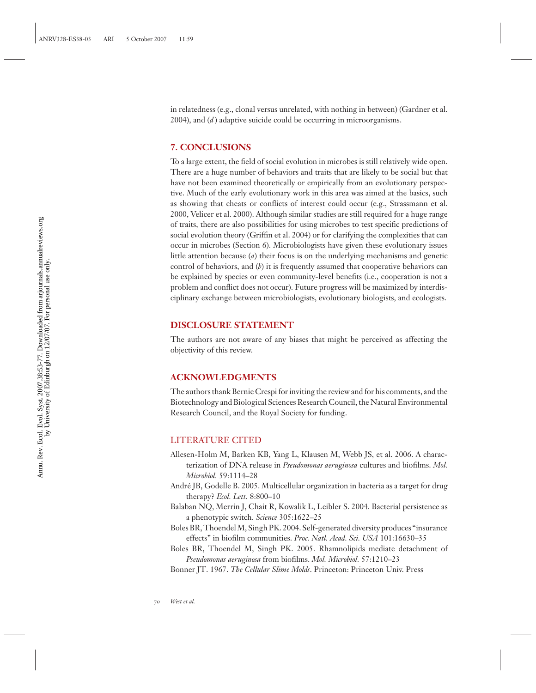in relatedness (e.g., clonal versus unrelated, with nothing in between) (Gardner et al. 2004), and (*d* ) adaptive suicide could be occurring in microorganisms.

#### **7. CONCLUSIONS**

To a large extent, the field of social evolution in microbes is still relatively wide open. There are a huge number of behaviors and traits that are likely to be social but that have not been examined theoretically or empirically from an evolutionary perspective. Much of the early evolutionary work in this area was aimed at the basics, such as showing that cheats or conflicts of interest could occur (e.g., Strassmann et al. 2000, Velicer et al. 2000). Although similar studies are still required for a huge range of traits, there are also possibilities for using microbes to test specific predictions of social evolution theory (Griffin et al. 2004) or for clarifying the complexities that can occur in microbes (Section 6). Microbiologists have given these evolutionary issues little attention because (*a*) their focus is on the underlying mechanisms and genetic control of behaviors, and (*b*) it is frequently assumed that cooperative behaviors can be explained by species or even community-level benefits (i.e., cooperation is not a problem and conflict does not occur). Future progress will be maximized by interdisciplinary exchange between microbiologists, evolutionary biologists, and ecologists.

#### **DISCLOSURE STATEMENT**

The authors are not aware of any biases that might be perceived as affecting the objectivity of this review.

# **ACKNOWLEDGMENTS**

The authors thank Bernie Crespi for inviting the review and for his comments, and the Biotechnology and Biological Sciences Research Council, the Natural Environmental Research Council, and the Royal Society for funding.

## LITERATURE CITED

- Allesen-Holm M, Barken KB, Yang L, Klausen M, Webb JS, et al. 2006. A characterization of DNA release in *Pseudomonas aeruginosa* cultures and biofilms. *Mol. Microbiol.* 59:1114–28
- André JB, Godelle B. 2005. Multicellular organization in bacteria as a target for drug therapy? *Ecol. Lett.* 8:800–10
- Balaban NQ, Merrin J, Chait R, Kowalik L, Leibler S. 2004. Bacterial persistence as a phenotypic switch. *Science* 305:1622–25
- Boles BR, Thoendel M, Singh PK. 2004. Self-generated diversity produces "insurance effects" in biofilm communities. *Proc. Natl. Acad. Sci. USA* 101:16630–35
- Boles BR, Thoendel M, Singh PK. 2005. Rhamnolipids mediate detachment of *Pseudomonas aeruginosa* from biofilms. *Mol. Microbiol.* 57:1210–23
- Bonner JT. 1967. *The Cellular Slime Molds*. Princeton: Princeton Univ. Press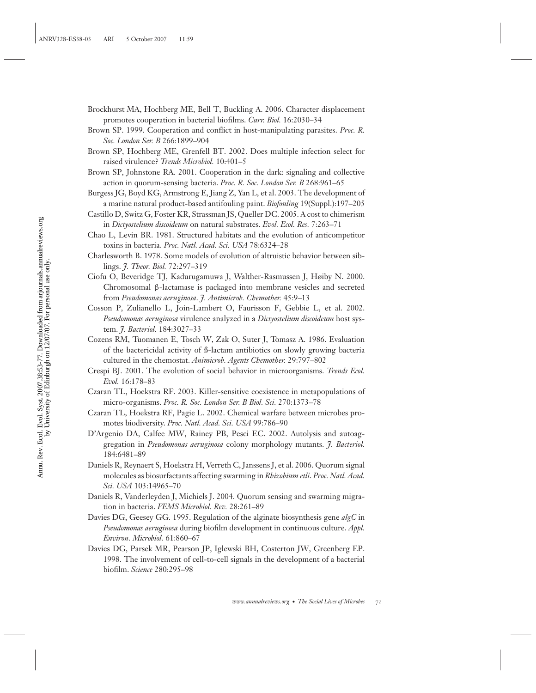- Brockhurst MA, Hochberg ME, Bell T, Buckling A. 2006. Character displacement promotes cooperation in bacterial biofilms. *Curr. Biol.* 16:2030–34
- Brown SP. 1999. Cooperation and conflict in host-manipulating parasites. *Proc. R. Soc. London Ser. B* 266:1899–904
- Brown SP, Hochberg ME, Grenfell BT. 2002. Does multiple infection select for raised virulence? *Trends Microbiol.* 10:401–5
- Brown SP, Johnstone RA. 2001. Cooperation in the dark: signaling and collective action in quorum-sensing bacteria. *Proc. R. Soc. London Ser. B* 268:961–65
- Burgess JG, Boyd KG, Armstrong E, Jiang Z, Yan L, et al. 2003. The development of a marine natural product-based antifouling paint. *Biofouling* 19(Suppl.):197–205
- Castillo D, Switz G, Foster KR, Strassman JS, Queller DC. 2005. A cost to chimerism in *Dictyostelium discoideum* on natural substrates. *Evol. Ecol. Res.* 7:263–71
- Chao L, Levin BR. 1981. Structured habitats and the evolution of anticompetitor toxins in bacteria. *Proc. Natl. Acad. Sci. USA* 78:6324–28
- Charlesworth B. 1978. Some models of evolution of altruistic behavior between siblings. *J. Theor. Biol.* 72:297–319
- Ciofu O, Beveridge TJ, Kadurugamuwa J, Walther-Rasmussen J, Høiby N. 2000. Chromosomal β-lactamase is packaged into membrane vesicles and secreted from *Pseudomonas aeruginosa*. *J. Antimicrob. Chemother.* 45:9–13
- Cosson P, Zulianello L, Join-Lambert O, Faurisson F, Gebbie L, et al. 2002. *Pseudomonas aeruginosa* virulence analyzed in a *Dictyostelium discoideum* host system. *J. Bacteriol.* 184:3027–33
- Cozens RM, Tuomanen E, Tosch W, Zak O, Suter J, Tomasz A. 1986. Evaluation of the bactericidal activity of ß-lactam antibiotics on slowly growing bacteria cultured in the chemostat. *Animicrob. Agents Chemother.* 29:797–802
- Crespi BJ. 2001. The evolution of social behavior in microorganisms. *Trends Ecol. Evol.* 16:178–83
- Czaran TL, Hoekstra RF. 2003. Killer-sensitive coexistence in metapopulations of micro-organisms. *Proc. R. Soc. London Ser. B Biol. Sci.* 270:1373–78
- Czaran TL, Hoekstra RF, Pagie L. 2002. Chemical warfare between microbes promotes biodiversity. *Proc. Natl. Acad. Sci. USA* 99:786–90
- D'Argenio DA, Calfee MW, Rainey PB, Pesci EC. 2002. Autolysis and autoaggregation in *Pseudomonas aeruginosa* colony morphology mutants. *J. Bacteriol.* 184:6481–89
- Daniels R, Reynaert S, Hoekstra H, Verreth C, Janssens J, et al. 2006. Quorum signal molecules as biosurfactants affecting swarming in *Rhizobium etli*. *Proc. Natl. Acad. Sci. USA* 103:14965–70
- Daniels R, Vanderleyden J, Michiels J. 2004. Quorum sensing and swarming migration in bacteria. *FEMS Microbiol. Rev.* 28:261–89
- Davies DG, Geesey GG. 1995. Regulation of the alginate biosynthesis gene *algC* in *Pseudomonas aeruginosa* during biofilm development in continuous culture. *Appl. Environ. Microbiol.* 61:860–67
- Davies DG, Parsek MR, Pearson JP, Iglewski BH, Costerton JW, Greenberg EP. 1998. The involvement of cell-to-cell signals in the development of a bacterial biofilm. *Science* 280:295–98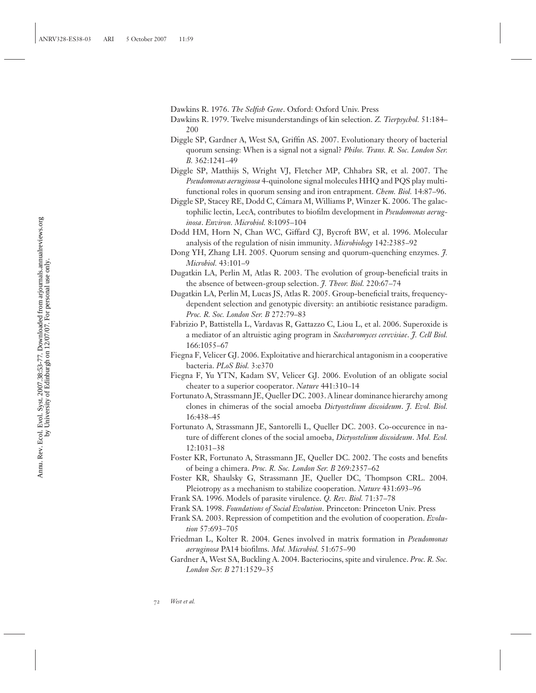Dawkins R. 1976. *The Selfish Gene*. Oxford: Oxford Univ. Press

- Dawkins R. 1979. Twelve misunderstandings of kin selection. *Z. Tierpsychol.* 51:184– 200
- Diggle SP, Gardner A, West SA, Griffin AS. 2007. Evolutionary theory of bacterial quorum sensing: When is a signal not a signal? *Philos. Trans. R. Soc. London Ser. B.* 362:1241–49
- Diggle SP, Matthijs S, Wright VJ, Fletcher MP, Chhabra SR, et al. 2007. The *Pseudomonas aeruginosa* 4-quinolone signal molecules HHQ and PQS play multifunctional roles in quorum sensing and iron entrapment. *Chem. Biol.* 14:87–96.
- Diggle SP, Stacey RE, Dodd C, Cámara M, Williams P, Winzer K. 2006. The galactophilic lectin, LecA, contributes to biofilm development in *Pseudomonas aeruginosa*. *Environ. Microbiol.* 8:1095–104
- Dodd HM, Horn N, Chan WC, Giffard CJ, Bycroft BW, et al. 1996. Molecular analysis of the regulation of nisin immunity. *Microbiology* 142:2385–92
- Dong YH, Zhang LH. 2005. Quorum sensing and quorum-quenching enzymes. *J. Microbiol.* 43:101–9
- Dugatkin LA, Perlin M, Atlas R. 2003. The evolution of group-beneficial traits in the absence of between-group selection. *J. Theor. Biol.* 220:67–74
- Dugatkin LA, Perlin M, Lucas JS, Atlas R. 2005. Group-beneficial traits, frequencydependent selection and genotypic diversity: an antibiotic resistance paradigm. *Proc. R. Soc. London Ser. B* 272:79–83
- Fabrizio P, Battistella L, Vardavas R, Gattazzo C, Liou L, et al. 2006. Superoxide is a mediator of an altruistic aging program in *Saccharomyces cerevisiae*. *J. Cell Biol.* 166:1055–67
- Fiegna F, Velicer GJ. 2006. Exploitative and hierarchical antagonism in a cooperative bacteria. *PLoS Biol.* 3:e370
- Fiegna F, Yu YTN, Kadam SV, Velicer GJ. 2006. Evolution of an obligate social cheater to a superior cooperator. *Nature* 441:310–14
- Fortunato A, Strassmann JE, Queller DC. 2003. A linear dominance hierarchy among clones in chimeras of the social amoeba *Dictyostelium discoideum*. *J. Evol. Biol.* 16:438–45
- Fortunato A, Strassmann JE, Santorelli L, Queller DC. 2003. Co-occurence in nature of different clones of the social amoeba, *Dictyostelium discoideum*. *Mol. Ecol.* 12:1031–38
- Foster KR, Fortunato A, Strassmann JE, Queller DC. 2002. The costs and benefits of being a chimera. *Proc. R. Soc. London Ser. B* 269:2357–62
- Foster KR, Shaulsky G, Strassmann JE, Queller DC, Thompson CRL. 2004. Pleiotropy as a mechanism to stabilize cooperation. *Nature* 431:693–96
- Frank SA. 1996. Models of parasite virulence. *Q. Rev. Biol.* 71:37–78
- Frank SA. 1998. *Foundations of Social Evolution*. Princeton: Princeton Univ. Press
- Frank SA. 2003. Repression of competition and the evolution of cooperation. *Evolution* 57:693–705
- Friedman L, Kolter R. 2004. Genes involved in matrix formation in *Pseudomonas aeruginosa* PA14 biofilms. *Mol. Microbiol.* 51:675–90
- Gardner A, West SA, Buckling A. 2004. Bacteriocins, spite and virulence. *Proc. R. Soc. London Ser. B* 271:1529–35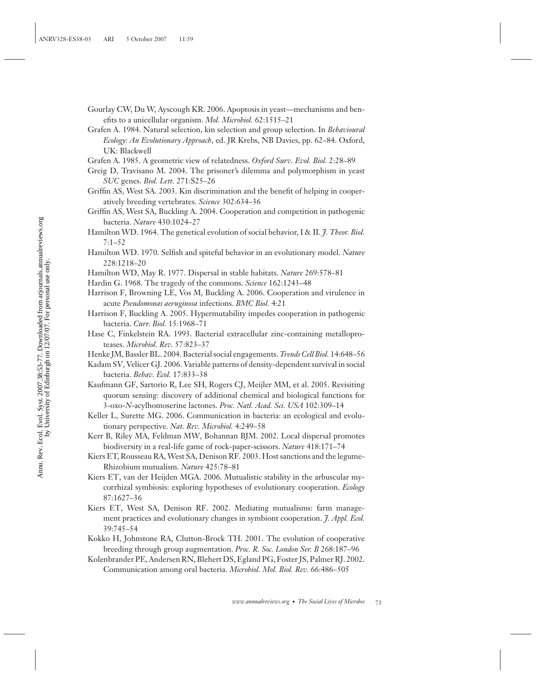- Gourlay CW, Du W, Ayscough KR. 2006. Apoptosis in yeast—mechanisms and benefits to a unicellular organism. *Mol. Microbiol.* 62:1515–21
- Grafen A. 1984. Natural selection, kin selection and group selection. In *Behavioural Ecology: An Evolutionary Approach*, ed. JR Krebs, NB Davies, pp. 62–84. Oxford, UK: Blackwell
- Grafen A. 1985. A geometric view of relatedness. *Oxford Surv. Evol. Biol.* 2:28–89
- Greig D, Travisano M. 2004. The prisoner's dilemma and polymorphism in yeast *SUC* genes. *Biol. Lett.* 271:S25–26
- Griffin AS, West SA. 2003. Kin discrimination and the benefit of helping in cooperatively breeding vertebrates. *Science* 302:634–36
- Griffin AS, West SA, Buckling A. 2004. Cooperation and competition in pathogenic bacteria. *Nature* 430:1024–27
- Hamilton WD. 1964. The genetical evolution of social behavior, I & II. *J. Theor. Biol.* 7:1–52
- Hamilton WD. 1970. Selfish and spiteful behavior in an evolutionary model. *Nature* 228:1218–20
- Hamilton WD, May R. 1977. Dispersal in stable habitats. *Nature* 269:578–81
- Hardin G. 1968. The tragedy of the commons. *Science* 162:1243–48
- Harrison F, Browning LE, Vos M, Buckling A. 2006. Cooperation and virulence in acute *Pseudomonas aeruginosa* infections. *BMC Biol.* 4:21
- Harrison F, Buckling A. 2005. Hypermutability impedes cooperation in pathogenic bacteria. *Curr. Biol.* 15:1968–71
- Hase C, Finkelstein RA. 1993. Bacterial extracellular zinc-containing metalloproteases. *Microbiol. Rev.* 57:823–37
- Henke JM, Bassler BL. 2004. Bacterial social engagements.*Trends Cell Biol.* 14:648–56
- Kadam SV, Velicer GJ. 2006. Variable patterns of density-dependent survival in social bacteria. *Behav. Ecol.* 17:833–38
- Kaufmann GF, Sartorio R, Lee SH, Rogers CJ, Meijler MM, et al. 2005. Revisiting quorum sensing: discovery of additional chemical and biological functions for 3-oxo-*N*-acylhomoserine lactones. *Proc. Natl. Acad. Sci. USA* 102:309–14
- Keller L, Surette MG. 2006. Communication in bacteria: an ecological and evolutionary perspective. *Nat. Rev. Microbiol.* 4:249–58
- Kerr B, Riley MA, Feldman MW, Bohannan BJM. 2002. Local dispersal promotes biodiversity in a real-life game of rock-paper-scissors. *Nature* 418:171–74
- Kiers ET, Rousseau RA, West SA, Denison RF. 2003. Host sanctions and the legume-Rhizobium mutualism. *Nature* 425:78–81
- Kiers ET, van der Heijden MGA. 2006. Mutualistic stability in the arbuscular mycorrhizal symbiosis: exploring hypotheses of evolutionary cooperation. *Ecology* 87:1627–36
- Kiers ET, West SA, Denison RF. 2002. Mediating mutualisms: farm management practices and evolutionary changes in symbiont cooperation. *J. Appl. Ecol.* 39:745–54
- Kokko H, Johnstone RA, Clutton-Brock TH. 2001. The evolution of cooperative breeding through group augmentation. *Proc. R. Soc. London Ser. B* 268:187–96
- Kolenbrander PE, Andersen RN, Blehert DS, Egland PG, Foster JS, Palmer RJ. 2002. Communication among oral bacteria. *Microbiol. Mol. Biol. Rev.* 66:486–505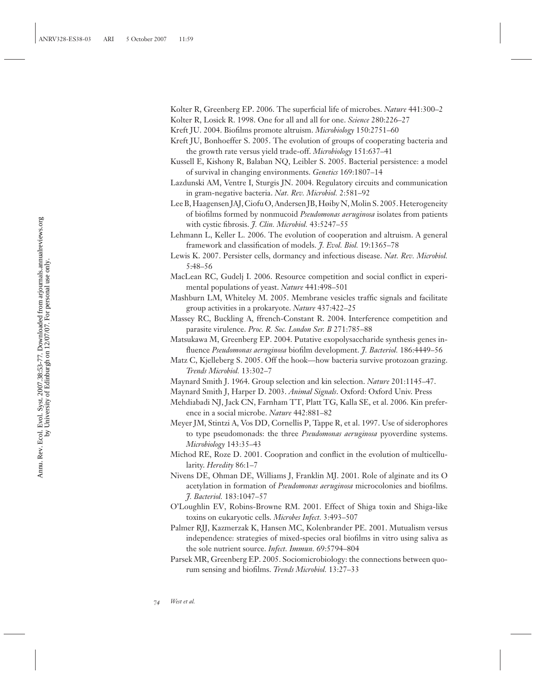- Kolter R, Greenberg EP. 2006. The superficial life of microbes. *Nature* 441:300–2
- Kolter R, Losick R. 1998. One for all and all for one. *Science* 280:226–27
- Kreft JU. 2004. Biofilms promote altruism. *Microbiology* 150:2751–60
- Kreft JU, Bonhoeffer S. 2005. The evolution of groups of cooperating bacteria and the growth rate versus yield trade-off. *Microbiology* 151:637–41
- Kussell E, Kishony R, Balaban NQ, Leibler S. 2005. Bacterial persistence: a model of survival in changing environments. *Genetics* 169:1807–14
- Lazdunski AM, Ventre I, Sturgis JN. 2004. Regulatory circuits and communication in gram-negative bacteria. *Nat. Rev. Microbiol.* 2:581–92
- Lee B, Haagensen JAJ, Ciofu O, Andersen JB, Høiby N, Molin S. 2005. Heterogeneity of biofilms formed by nonmucoid *Pseudomonas aeruginosa* isolates from patients with cystic fibrosis. *J. Clin. Microbiol.* 43:5247–55
- Lehmann L, Keller L. 2006. The evolution of cooperation and altruism. A general framework and classification of models. *J. Evol. Biol.* 19:1365–78
- Lewis K. 2007. Persister cells, dormancy and infectious disease. *Nat. Rev. Microbiol.* 5:48–56
- MacLean RC, Gudelj I. 2006. Resource competition and social conflict in experimental populations of yeast. *Nature* 441:498–501
- Mashburn LM, Whiteley M. 2005. Membrane vesicles traffic signals and facilitate group activities in a prokaryote. *Nature* 437:422–25
- Massey RC, Buckling A, ffrench-Constant R. 2004. Interference competition and parasite virulence. *Proc. R. Soc. London Ser. B* 271:785–88
- Matsukawa M, Greenberg EP. 2004. Putative exopolysaccharide synthesis genes influence *Pseudomonas aeruginosa* biofilm development. *J. Bacteriol.* 186:4449–56
- Matz C, Kjelleberg S. 2005. Off the hook—how bacteria survive protozoan grazing. *Trends Microbiol.* 13:302–7
- Maynard Smith J. 1964. Group selection and kin selection. *Nature* 201:1145–47.
- Maynard Smith J, Harper D. 2003. *Animal Signals*. Oxford: Oxford Univ. Press
- Mehdiabadi NJ, Jack CN, Farnham TT, Platt TG, Kalla SE, et al. 2006. Kin preference in a social microbe. *Nature* 442:881–82
- Meyer JM, Stintzi A, Vos DD, Cornellis P, Tappe R, et al. 1997. Use of siderophores to type pseudomonads: the three *Pseudomonas aeruginosa* pyoverdine systems. *Microbiology* 143:35–43
- Michod RE, Roze D. 2001. Coopration and conflict in the evolution of multicellularity. *Heredity* 86:1–7
- Nivens DE, Ohman DE, Williams J, Franklin MJ. 2001. Role of alginate and its O acetylation in formation of *Pseudomonas aeruginosa* microcolonies and biofilms. *J. Bacteriol.* 183:1047–57
- O'Loughlin EV, Robins-Browne RM. 2001. Effect of Shiga toxin and Shiga-like toxins on eukaryotic cells. *Microbes Infect.* 3:493–507
- Palmer RJJ, Kazmerzak K, Hansen MC, Kolenbrander PE. 2001. Mutualism versus independence: strategies of mixed-species oral biofilms in vitro using saliva as the sole nutrient source. *Infect. Immun.* 69:5794–804
- Parsek MR, Greenberg EP. 2005. Sociomicrobiology: the connections between quorum sensing and biofilms. *Trends Microbiol.* 13:27–33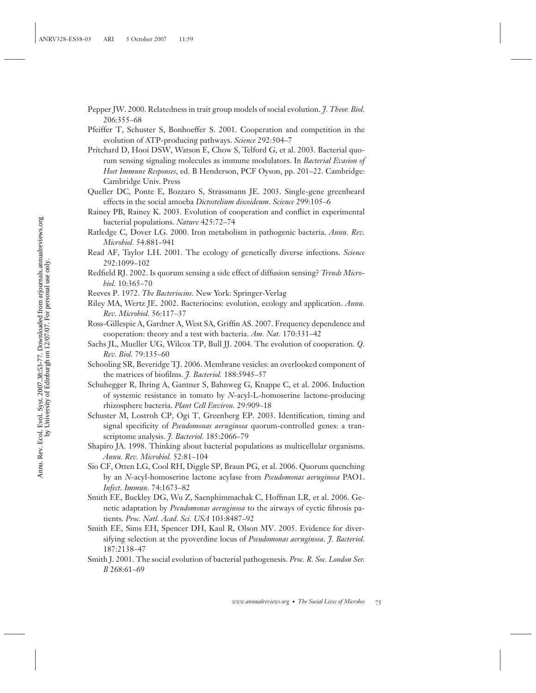- Pepper JW. 2000. Relatedness in trait group models of social evolution. *J. Theor. Biol.* 206:355–68
- Pfeiffer T, Schuster S, Bonhoeffer S. 2001. Cooperation and competition in the evolution of ATP-producing pathways. *Science* 292:504–7
- Pritchard D, Hooi DSW, Watson E, Chow S, Telford G, et al. 2003. Bacterial quorum sensing signaling molecules as immune modulators. In *Bacterial Evasion of Host Immune Responses*, ed. B Henderson, PCF Oyson, pp. 201–22. Cambridge: Cambridge Univ. Press
- Queller DC, Ponte E, Bozzaro S, Strassmann JE. 2003. Single-gene greenbeard effects in the social amoeba *Dictostelium discoideum*. *Science* 299:105–6
- Rainey PB, Rainey K. 2003. Evolution of cooperation and conflict in experimental bacterial populations. *Nature* 425:72–74
- Ratledge C, Dover LG. 2000. Iron metabolism in pathogenic bacteria. *Annu. Rev. Microbiol.* 54:881–941
- Read AF, Taylor LH. 2001. The ecology of genetically diverse infections. *Science* 292:1099–102
- Redfield RJ. 2002. Is quorum sensing a side effect of diffusion sensing? *Trends Microbiol.* 10:365–70
- Reeves P. 1972. *The Bacteriocins*. New York: Springer-Verlag
- Riley MA, Wertz JE. 2002. Bacteriocins: evolution, ecology and application. *Annu. Rev. Microbiol.* 56:117–37
- Ross-Gillespie A, Gardner A, West SA, Griffin AS. 2007. Frequency dependence and cooperation: theory and a test with bacteria. *Am. Nat.* 170:331–42
- Sachs JL, Mueller UG, Wilcox TP, Bull JJ. 2004. The evolution of cooperation. *Q. Rev. Biol.* 79:135–60
- Schooling SR, Beveridge TJ. 2006. Membrane vesicles: an overlooked component of the matrices of biofilms. *J. Bacteriol.* 188:5945–57
- Schuhegger R, Ihring A, Gantner S, Bahnweg G, Knappe C, et al. 2006. Induction of systemic resistance in tomato by *N*-acyl-L-homoserine lactone-producing rhizosphere bacteria. *Plant Cell Environ.* 29:909–18
- Schuster M, Lostroh CP, Ogi T, Greenberg EP. 2003. Identification, timing and signal specificity of *Pseudomonas aeruginosa* quorum-controlled genes: a transcriptome analysis. *J. Bacteriol.* 185:2066–79
- Shapiro JA. 1998. Thinking about bacterial populations as multicellular organisms. *Annu. Rev. Microbiol.* 52:81–104
- Sio CF, Otten LG, Cool RH, Diggle SP, Braun PG, et al. 2006. Quorum quenching by an *N*-acyl-homoserine lactone acylase from *Pseudomonas aeruginosa* PAO1. *Infect. Immun.* 74:1673–82
- Smith EE, Buckley DG, Wu Z, Saenphimmachak C, Hoffman LR, et al. 2006. Genetic adaptation by *Pseudomonas aeruginosa* to the airways of cyctic fibrosis patients. *Proc. Natl. Acad. Sci. USA* 103:8487–92
- Smith EE, Sims EH, Spencer DH, Kaul R, Olson MV. 2005. Evidence for diversifying selection at the pyoverdine locus of *Pseudomonas aeruginosa*. *J. Bacteriol.* 187:2138–47
- Smith J. 2001. The social evolution of bacterial pathogenesis. *Proc. R. Soc. London Ser. B* 268:61–69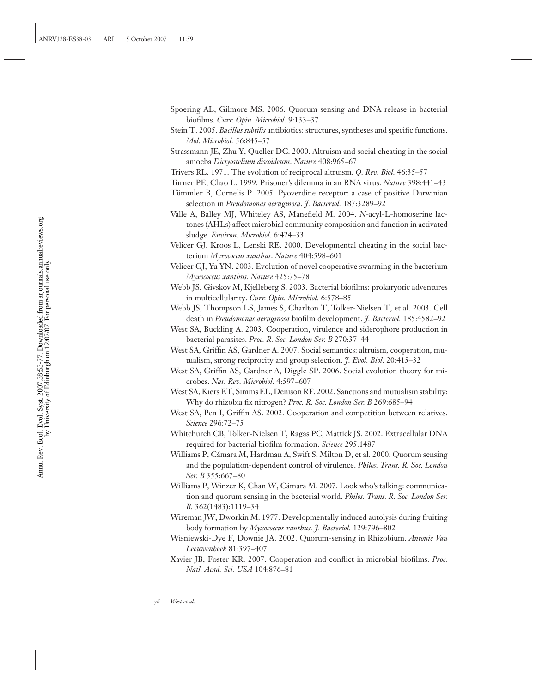- Spoering AL, Gilmore MS. 2006. Quorum sensing and DNA release in bacterial biofilms. *Curr. Opin. Microbiol.* 9:133–37
- Stein T. 2005. *Bacillus subtilis* antibiotics: structures, syntheses and specific functions. *Mol. Microbiol.* 56:845–57
- Strassmann JE, Zhu Y, Queller DC. 2000. Altruism and social cheating in the social amoeba *Dictyostelium discoideum*. *Nature* 408:965–67
- Trivers RL. 1971. The evolution of reciprocal altruism. *Q. Rev. Biol.* 46:35–57
- Turner PE, Chao L. 1999. Prisoner's dilemma in an RNA virus. *Nature* 398:441–43
- Tümmler B, Cornelis P. 2005. Pyoverdine receptor: a case of positive Darwinian selection in *Pseudomonas aeruginosa*. *J. Bacteriol.* 187:3289–92
- Valle A, Balley MJ, Whiteley AS, Manefield M. 2004. *N*-acyl-L-homoserine lactones (AHLs) affect microbial community composition and function in activated sludge. *Environ. Microbiol.* 6:424–33
- Velicer GJ, Kroos L, Lenski RE. 2000. Developmental cheating in the social bacterium *Myxococcus xanthus*. *Nature* 404:598–601
- Velicer GJ, Yu YN. 2003. Evolution of novel cooperative swarming in the bacterium *Myxococcus xanthus*. *Nature* 425:75–78
- Webb JS, Givskov M, Kjelleberg S. 2003. Bacterial biofilms: prokaryotic adventures in multicellularity. *Curr. Opin. Microbiol.* 6:578–85
- Webb JS, Thompson LS, James S, Charlton T, Tolker-Nielsen T, et al. 2003. Cell death in *Pseudomonas aeruginosa* biofilm development. *J. Bacteriol.* 185:4582–92
- West SA, Buckling A. 2003. Cooperation, virulence and siderophore production in bacterial parasites. *Proc. R. Soc. London Ser. B* 270:37–44
- West SA, Griffin AS, Gardner A. 2007. Social semantics: altruism, cooperation, mutualism, strong reciprocity and group selection. *J. Evol. Biol.* 20:415–32
- West SA, Griffin AS, Gardner A, Diggle SP. 2006. Social evolution theory for microbes. *Nat. Rev. Microbiol.* 4:597–607
- West SA, Kiers ET, Simms EL, Denison RF. 2002. Sanctions and mutualism stability: Why do rhizobia fix nitrogen? *Proc. R. Soc. London Ser. B* 269:685–94
- West SA, Pen I, Griffin AS. 2002. Cooperation and competition between relatives. *Science* 296:72–75
- Whitchurch CB, Tolker-Nielsen T, Ragas PC, Mattick JS. 2002. Extracellular DNA required for bacterial biofilm formation. *Science* 295:1487
- Williams P, Cámara M, Hardman A, Swift S, Milton D, et al. 2000. Quorum sensing and the population-dependent control of virulence. *Philos. Trans. R. Soc. London Ser. B* 355:667–80
- Williams P, Winzer K, Chan W, Cámara M. 2007. Look who's talking: communication and quorum sensing in the bacterial world. *Philos. Trans. R. Soc. London Ser. B.* 362(1483):1119–34
- Wireman JW, Dworkin M. 1977. Developmentally induced autolysis during fruiting body formation by *Myxococcus xanthus*. *J. Bacteriol.* 129:796–802
- Wisniewski-Dye F, Downie JA. 2002. Quorum-sensing in Rhizobium. *Antonie Van Leeuwenhoek* 81:397–407
- Xavier JB, Foster KR. 2007. Cooperation and conflict in microbial biofilms. *Proc. Natl. Acad. Sci. USA* 104:876–81